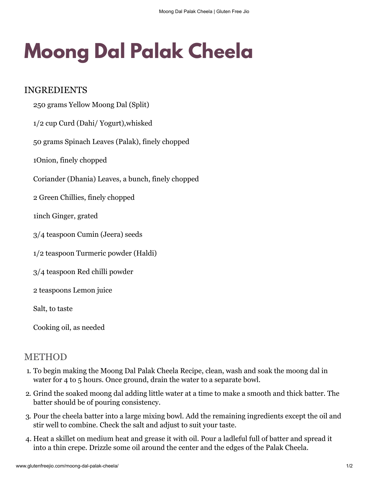## **Moong Dal Palak Cheela**

## INGREDIENTS

- 250 grams Yellow Moong Dal (Split) 1/2 cup Curd (Dahi/ Yogurt),whisked 50 grams Spinach Leaves (Palak), finely chopped 1Onion, finely chopped Coriander (Dhania) Leaves, a bunch, finely chopped 2 Green Chillies, finely chopped 1inch Ginger, grated 3/4 teaspoon Cumin (Jeera) seeds 1/2 teaspoon Turmeric powder (Haldi) 3/4 teaspoon Red chilli powder 2 teaspoons Lemon juice Salt, to taste
- Cooking oil, as needed

## METHOD

- 1. To begin making the Moong Dal Palak Cheela Recipe, clean, wash and soak the moong dal in water for 4 to 5 hours. Once ground, drain the water to a separate bowl.
- 2. Grind the soaked moong dal adding little water at a time to make a smooth and thick batter. The batter should be of pouring consistency.
- 3. Pour the cheela batter into a large mixing bowl. Add the remaining ingredients except the oil and stir well to combine. Check the salt and adjust to suit your taste.
- 4. Heat a skillet on medium heat and grease it with oil. Pour a ladleful full of batter and spread it into a thin crepe. Drizzle some oil around the center and the edges of the Palak Cheela.